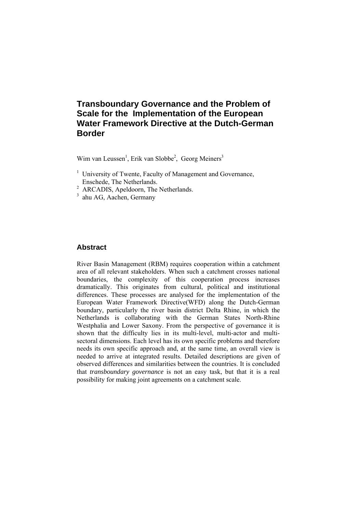# **Transboundary Governance and the Problem of Scale for the Implementation of the European Water Framework Directive at the Dutch-German Border**

Wim van Leussen<sup>1</sup>, Erik van Slobbe<sup>2</sup>, Georg Meiners<sup>3</sup>

- <sup>1</sup> University of Twente, Faculty of Management and Governance, Enschede, The Netherlands.
- <sup>2</sup> ARCADIS, Apeldoorn, The Netherlands.
- 3 ahu AG, Aachen, Germany

#### **Abstract**

River Basin Management (RBM) requires cooperation within a catchment area of all relevant stakeholders. When such a catchment crosses national boundaries, the complexity of this cooperation process increases dramatically. This originates from cultural, political and institutional differences. These processes are analysed for the implementation of the European Water Framework Directive(WFD) along the Dutch-German boundary, particularly the river basin district Delta Rhine, in which the Netherlands is collaborating with the German States North-Rhine Westphalia and Lower Saxony. From the perspective of governance it is shown that the difficulty lies in its multi-level, multi-actor and multisectoral dimensions. Each level has its own specific problems and therefore needs its own specific approach and, at the same time, an overall view is needed to arrive at integrated results. Detailed descriptions are given of observed differences and similarities between the countries. It is concluded that *transboundary governance* is not an easy task, but that it is a real possibility for making joint agreements on a catchment scale.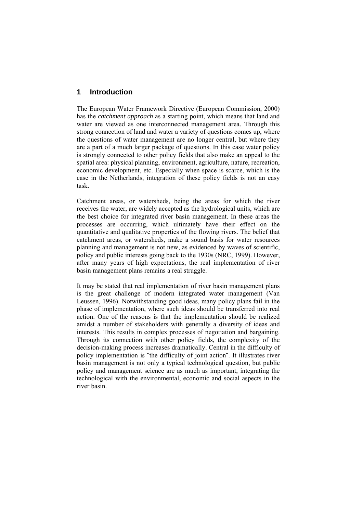# **1 Introduction**

The European Water Framework Directive (European Commission, 2000) has the *catchment approach* as a starting point, which means that land and water are viewed as one interconnected management area. Through this strong connection of land and water a variety of questions comes up, where the questions of water management are no longer central, but where they are a part of a much larger package of questions. In this case water policy is strongly connected to other policy fields that also make an appeal to the spatial area: physical planning, environment, agriculture, nature, recreation, economic development, etc. Especially when space is scarce, which is the case in the Netherlands, integration of these policy fields is not an easy task.

Catchment areas, or watersheds, being the areas for which the river receives the water, are widely accepted as the hydrological units, which are the best choice for integrated river basin management. In these areas the processes are occurring, which ultimately have their effect on the quantitative and qualitative properties of the flowing rivers. The belief that catchment areas, or watersheds, make a sound basis for water resources planning and management is not new, as evidenced by waves of scientific, policy and public interests going back to the 1930s (NRC, 1999). However, after many years of high expectations, the real implementation of river basin management plans remains a real struggle.

It may be stated that real implementation of river basin management plans is the great challenge of modern integrated water management (Van Leussen, 1996). Notwithstanding good ideas, many policy plans fail in the phase of implementation, where such ideas should be transferred into real action. One of the reasons is that the implementation should be realized amidst a number of stakeholders with generally a diversity of ideas and interests. This results in complex processes of negotiation and bargaining. Through its connection with other policy fields, the complexity of the decision-making process increases dramatically. Central in the difficulty of policy implementation is ¨the difficulty of joint action¨. It illustrates river basin management is not only a typical technological question, but public policy and management science are as much as important, integrating the technological with the environmental, economic and social aspects in the river basin.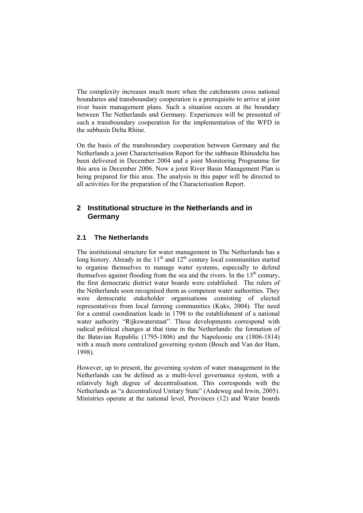The complexity increases much more when the catchments cross national boundaries and transboundary cooperation is a prerequisite to arrive at joint river basin management plans. Such a situation occurs at the boundary between The Netherlands and Germany. Experiences will be presented of such a transboundary cooperation for the implementation of the WFD in the subbasin Delta Rhine.

On the basis of the transboundary cooperation between Germany and the Netherlands a joint Characterisation Report for the subbasin Rhinedelta has been delivered in December 2004 and a joint Monitoring Programme for this area in December 2006. Now a joint River Basin Management Plan is being prepared for this area. The analysis in this paper will be directed to all activities for the preparation of the Characterisation Report.

# **2 Institutional structure in the Netherlands and in Germany**

# **2.1 The Netherlands**

The institutional structure for water management in The Netherlands has a long history. Already in the  $11<sup>th</sup>$  and  $12<sup>th</sup>$  century local communities started to organise themselves to manage water systems, especially to defend themselves against flooding from the sea and the rivers. In the  $13<sup>th</sup>$  century, the first democratic district water boards were established. The rulers of the Netherlands soon recognised them as competent water authorities. They were democratic stakeholder organisations consisting of elected representatives from local farming communities (Kuks, 2004). The need for a central coordination leads in 1798 to the establishment of a national water authority "Rijkswaterstaat". These developments correspond with radical political changes at that time in the Netherlands: the formation of the Batavian Republic (1795-1806) and the Napoleonic era (1806-1814) with a much more centralized governing system (Bosch and Van der Ham, 1998).

However, up to present, the governing system of water management in the Netherlands can be defined as a multi-level governance system, with a relatively high degree of decentralisation. This corresponds with the Netherlands as "a decentralized Unitary State" (Andeweg and Irwin, 2005). Ministries operate at the national level, Provinces (12) and Water boards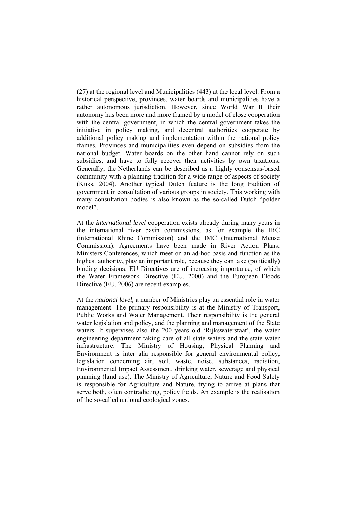(27) at the regional level and Municipalities (443) at the local level. From a historical perspective, provinces, water boards and municipalities have a rather autonomous jurisdiction. However, since World War II their autonomy has been more and more framed by a model of close cooperation with the central government, in which the central government takes the initiative in policy making, and decentral authorities cooperate by additional policy making and implementation within the national policy frames. Provinces and municipalities even depend on subsidies from the national budget. Water boards on the other hand cannot rely on such subsidies, and have to fully recover their activities by own taxations. Generally, the Netherlands can be described as a highly consensus-based community with a planning tradition for a wide range of aspects of society (Kuks, 2004). Another typical Dutch feature is the long tradition of government in consultation of various groups in society. This working with many consultation bodies is also known as the so-called Dutch "polder model".

At the *international level* cooperation exists already during many years in the international river basin commissions, as for example the IRC (international Rhine Commission) and the IMC (International Meuse Commission). Agreements have been made in River Action Plans. Ministers Conferences, which meet on an ad-hoc basis and function as the highest authority, play an important role, because they can take (politically) binding decisions. EU Directives are of increasing importance, of which the Water Framework Directive (EU, 2000) and the European Floods Directive (EU, 2006) are recent examples.

At the *national level,* a number of Ministries play an essential role in water management. The primary responsibility is at the Ministry of Transport, Public Works and Water Management. Their responsibility is the general water legislation and policy, and the planning and management of the State waters. It supervises also the 200 years old 'Rijkswaterstaat', the water engineering department taking care of all state waters and the state water infrastructure. The Ministry of Housing, Physical Planning and Environment is inter alia responsible for general environmental policy, legislation concerning air, soil, waste, noise, substances, radiation, Environmental Impact Assessment, drinking water, sewerage and physical planning (land use). The Ministry of Agriculture, Nature and Food Safety is responsible for Agriculture and Nature, trying to arrive at plans that serve both, often contradicting, policy fields. An example is the realisation of the so-called national ecological zones.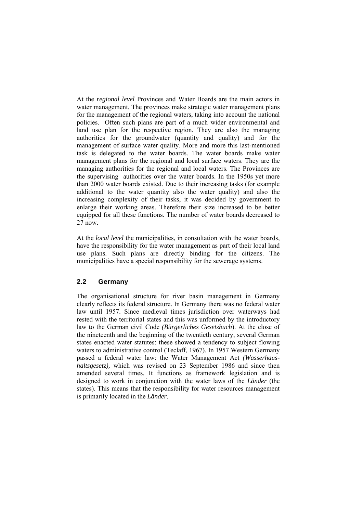At the *regional level* Provinces and Water Boards are the main actors in water management. The provinces make strategic water management plans for the management of the regional waters, taking into account the national policies. Often such plans are part of a much wider environmental and land use plan for the respective region. They are also the managing authorities for the groundwater (quantity and quality) and for the management of surface water quality. More and more this last-mentioned task is delegated to the water boards. The water boards make water management plans for the regional and local surface waters. They are the managing authorities for the regional and local waters. The Provinces are the supervising authorities over the water boards. In the 1950s yet more than 2000 water boards existed. Due to their increasing tasks (for example additional to the water quantity also the water quality) and also the increasing complexity of their tasks, it was decided by government to enlarge their working areas. Therefore their size increased to be better equipped for all these functions. The number of water boards decreased to 27 now.

At the *local level* the municipalities, in consultation with the water boards, have the responsibility for the water management as part of their local land use plans. Such plans are directly binding for the citizens. The municipalities have a special responsibility for the sewerage systems.

#### **2.2 Germany**

The organisational structure for river basin management in Germany clearly reflects its federal structure. In Germany there was no federal water law until 1957. Since medieval times jurisdiction over waterways had rested with the territorial states and this was unformed by the introductory law to the German civil Code *(Bürgerliches Gesetzbuch*). At the close of the nineteenth and the beginning of the twentieth century, several German states enacted water statutes: these showed a tendency to subject flowing waters to administrative control (Teclaff, 1967). In 1957 Western Germany passed a federal water law: the Water Management Act *(Wasserhaushaltsgesetz),* which was revised on 23 September 1986 and since then amended several times. It functions as framework legislation and is designed to work in conjunction with the water laws of the *Länder* (the states). This means that the responsibility for water resources management is primarily located in the *Länder*.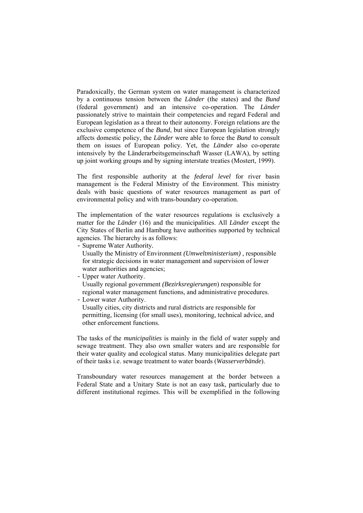Paradoxically, the German system on water management is characterized by a continuous tension between the *Länder* (the states) and the *Bund* (federal government) and an intensive co-operation. The *Länder* passionately strive to maintain their competencies and regard Federal and European legislation as a threat to their autonomy. Foreign relations are the exclusive competence of the *Bund*, but since European legislation strongly affects domestic policy, the *Länder* were able to force the *Bund* to consult them on issues of European policy. Yet, the *Länder* also co-operate intensively by the Länderarbeitsgemeinschaft Wasser (LAWA), by setting up joint working groups and by signing interstate treaties (Mostert, 1999).

The first responsible authority at the *federal level* for river basin management is the Federal Ministry of the Environment. This ministry deals with basic questions of water resources management as part of environmental policy and with trans-boundary co-operation.

The implementation of the water resources regulations is exclusively a matter for the *Länder* (16) and the municipalities. All *Länder* except the City States of Berlin and Hamburg have authorities supported by technical agencies. The hierarchy is as follows:

- Supreme Water Authority*.*
	- Usually the Ministry of Environment *(Umweltministerium)* , responsible for strategic decisions in water management and supervision of lower water authorities and agencies;
- Upper water Authority. Usually regional government *(Bezirksregierungen*) responsible for regional water management functions, and administrative procedures.
- Lower water Authority.

Usually cities, city districts and rural districts are responsible for permitting, licensing (for small uses), monitoring, technical advice, and other enforcement functions.

The tasks of the *municipalities* is mainly in the field of water supply and sewage treatment. They also own smaller waters and are responsible for their water quality and ecological status. Many municipalities delegate part of their tasks i.e. sewage treatment to water boards (*Wasserverbände*).

Transboundary water resources management at the border between a Federal State and a Unitary State is not an easy task, particularly due to different institutional regimes. This will be exemplified in the following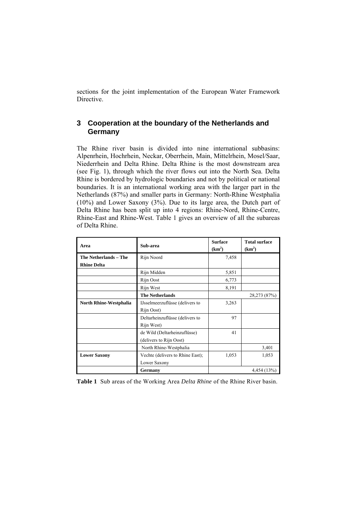sections for the joint implementation of the European Water Framework Directive.

# **3 Cooperation at the boundary of the Netherlands and Germany**

The Rhine river basin is divided into nine international subbasins: Alpenrhein, Hochrhein, Neckar, Oberrhein, Main, Mittelrhein, Mosel/Saar, Niederrhein and Delta Rhine. Delta Rhine is the most downstream area (see Fig. 1), through which the river flows out into the North Sea. Delta Rhine is bordered by hydrologic boundaries and not by political or national boundaries. It is an international working area with the larger part in the Netherlands (87%) and smaller parts in Germany: North-Rhine Westphalia (10%) and Lower Saxony (3%). Due to its large area, the Dutch part of Delta Rhine has been split up into 4 regions: Rhine-Nord, Rhine-Centre, Rhine-East and Rhine-West. Table 1 gives an overview of all the subareas of Delta Rhine.

| Area                   | Sub-area                         | <b>Surface</b><br>(km <sup>2</sup> ) | <b>Total surface</b><br>(km <sup>2</sup> ) |
|------------------------|----------------------------------|--------------------------------------|--------------------------------------------|
| The Netherlands - The  | Rijn Noord                       | 7,458                                |                                            |
| <b>Rhine Delta</b>     |                                  |                                      |                                            |
|                        | Rijn Midden                      | 5,851                                |                                            |
|                        | Rijn Oost                        | 6,773                                |                                            |
|                        | Rijn West                        | 8,191                                |                                            |
|                        | <b>The Netherlands</b>           |                                      | 28,273 (87%)                               |
| North Rhine-Westphalia | IJsselmeerzuflüsse (delivers to  | 3,263                                |                                            |
|                        | Rijn Oost)                       |                                      |                                            |
|                        | Deltarheinzuflüsse (delivers to  | 97                                   |                                            |
|                        | Rijn West)                       |                                      |                                            |
|                        | de Wild (Deltarheinzuflüsse)     | 41                                   |                                            |
|                        | (delivers to Rijn Oost)          |                                      |                                            |
|                        | North Rhine-Westphalia           |                                      | 3,401                                      |
| <b>Lower Saxony</b>    | Vechte (delivers to Rhine East); | 1,053                                | 1,053                                      |
|                        | Lower Saxony                     |                                      |                                            |
|                        | Germany                          |                                      | 4,454 (13%)                                |

**Table 1** Sub areas of the Working Area *Delta Rhine* of the Rhine River basin.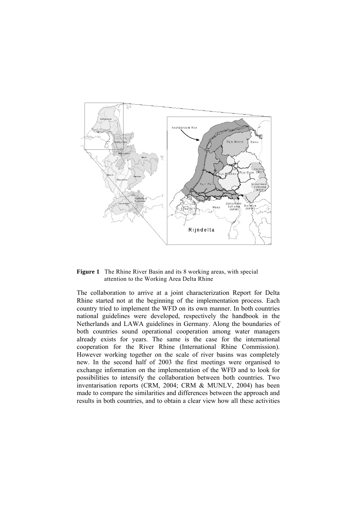

**Figure 1** The Rhine River Basin and its 8 working areas, with special attention to the Working Area Delta Rhine

The collaboration to arrive at a joint characterization Report for Delta Rhine started not at the beginning of the implementation process. Each country tried to implement the WFD on its own manner. In both countries national guidelines were developed, respectively the handbook in the Netherlands and LAWA guidelines in Germany. Along the boundaries of both countries sound operational cooperation among water managers already exists for years. The same is the case for the international cooperation for the River Rhine (International Rhine Commission). However working together on the scale of river basins was completely new. In the second half of 2003 the first meetings were organised to exchange information on the implementation of the WFD and to look for possibilities to intensify the collaboration between both countries. Two inventarisation reports (CRM, 2004; CRM & MUNLV, 2004) has been made to compare the similarities and differences between the approach and results in both countries, and to obtain a clear view how all these activities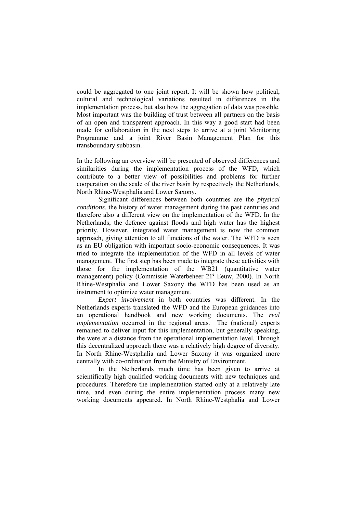could be aggregated to one joint report. It will be shown how political, cultural and technological variations resulted in differences in the implementation process, but also how the aggregation of data was possible. Most important was the building of trust between all partners on the basis of an open and transparent approach. In this way a good start had been made for collaboration in the next steps to arrive at a joint Monitoring Programme and a joint River Basin Management Plan for this transboundary subbasin.

In the following an overview will be presented of observed differences and similarities during the implementation process of the WFD, which contribute to a better view of possibilities and problems for further cooperation on the scale of the river basin by respectively the Netherlands, North Rhine-Westphalia and Lower Saxony.

 Significant differences between both countries are the *physical conditions*, the history of water management during the past centuries and therefore also a different view on the implementation of the WFD. In the Netherlands, the defence against floods and high water has the highest priority. However, integrated water management is now the common approach, giving attention to all functions of the water. The WFD is seen as an EU obligation with important socio-economic consequences. It was tried to integrate the implementation of the WFD in all levels of water management. The first step has been made to integrate these activities with those for the implementation of the WB21 (quantitative water management) policy (Commissie Waterbeheer 21<sup>e</sup> Eeuw, 2000). In North Rhine-Westphalia and Lower Saxony the WFD has been used as an instrument to optimize water management.

*Expert involvement* in both countries was different. In the Netherlands experts translated the WFD and the European guidances into an operational handbook and new working documents. The *real implementation* occurred in the regional areas. The (national) experts remained to deliver input for this implementation, but generally speaking, the were at a distance from the operational implementation level. Through this decentralized approach there was a relatively high degree of diversity. In North Rhine-Westphalia and Lower Saxony it was organized more centrally with co-ordination from the Ministry of Environment.

 In the Netherlands much time has been given to arrive at scientifically high qualified working documents with new techniques and procedures. Therefore the implementation started only at a relatively late time, and even during the entire implementation process many new working documents appeared. In North Rhine-Westphalia and Lower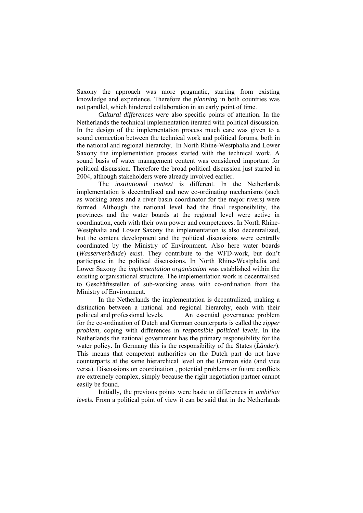Saxony the approach was more pragmatic, starting from existing knowledge and experience. Therefore the *planning* in both countries was not parallel, which hindered collaboration in an early point of time.

 *Cultural differences were* also specific points of attention. In the Netherlands the technical implementation iterated with political discussion. In the design of the implementation process much care was given to a sound connection between the technical work and political forums, both in the national and regional hierarchy. In North Rhine-Westphalia and Lower Saxony the implementation process started with the technical work. A sound basis of water management content was considered important for political discussion. Therefore the broad political discussion just started in 2004, although stakeholders were already involved earlier.

 The *institutional context* is different. In the Netherlands implementation is decentralised and new co-ordinating mechanisms (such as working areas and a river basin coordinator for the major rivers) were formed. Although the national level had the final responsibility, the provinces and the water boards at the regional level were active in coordination, each with their own power and competences. In North Rhine-Westphalia and Lower Saxony the implementation is also decentralized, but the content development and the political discussions were centrally coordinated by the Ministry of Environment. Also here water boards (*Wasserverbände*) exist. They contribute to the WFD-work, but don't participate in the political discussions. In North Rhine-Westphalia and Lower Saxony the *implementation organisation* was established within the existing organisational structure. The implementation work is decentralised to Geschäftsstellen of sub-working areas with co-ordination from the Ministry of Environment.

 In the Netherlands the implementation is decentralized, making a distinction between a national and regional hierarchy, each with their political and professional levels. An essential governance problem for the co-ordination of Dutch and German counterparts is called the *zipper problem,* coping with differences in *responsible political levels*. In the Netherlands the national government has the primary responsibility for the water policy. In Germany this is the responsibility of the States (*Länder*). This means that competent authorities on the Dutch part do not have counterparts at the same hierarchical level on the German side (and vice versa). Discussions on coordination , potential problems or future conflicts are extremely complex, simply because the right negotiation partner cannot easily be found.

 Initially, the previous points were basic to differences in *ambition levels.* From a political point of view it can be said that in the Netherlands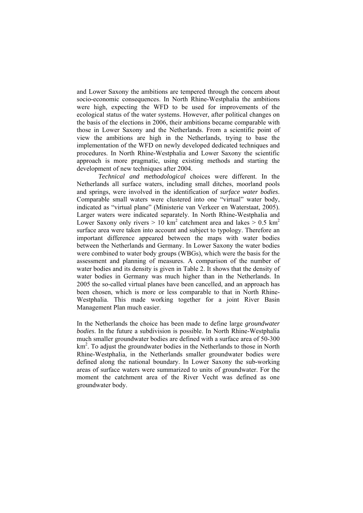and Lower Saxony the ambitions are tempered through the concern about socio-economic consequences. In North Rhine-Westphalia the ambitions were high, expecting the WFD to be used for improvements of the ecological status of the water systems. However, after political changes on the basis of the elections in 2006, their ambitions became comparable with those in Lower Saxony and the Netherlands. From a scientific point of view the ambitions are high in the Netherlands, trying to base the implementation of the WFD on newly developed dedicated techniques and procedures. In North Rhine-Westphalia and Lower Saxony the scientific approach is more pragmatic, using existing methods and starting the development of new techniques after 2004.

*Technical and methodological* choices were different. In the Netherlands all surface waters, including small ditches, moorland pools and springs, were involved in the identification of *surface water bodies*. Comparable small waters were clustered into one "virtual" water body, indicated as "virtual plane" (Ministerie van Verkeer en Waterstaat, 2005). Larger waters were indicated separately. In North Rhine-Westphalia and Lower Saxony only rivers  $> 10 \text{ km}^2$  catchment area and lakes  $> 0.5 \text{ km}^2$ surface area were taken into account and subject to typology. Therefore an important difference appeared between the maps with water bodies between the Netherlands and Germany. In Lower Saxony the water bodies were combined to water body groups (WBGs), which were the basis for the assessment and planning of measures. A comparison of the number of water bodies and its density is given in Table 2. It shows that the density of water bodies in Germany was much higher than in the Netherlands. In 2005 the so-called virtual planes have been cancelled, and an approach has been chosen, which is more or less comparable to that in North Rhine-Westphalia. This made working together for a joint River Basin Management Plan much easier.

In the Netherlands the choice has been made to define large *groundwater bodies*. In the future a subdivision is possible. In North Rhine-Westphalia much smaller groundwater bodies are defined with a surface area of 50-300 km<sup>2</sup>. To adjust the groundwater bodies in the Netherlands to those in North Rhine-Westphalia, in the Netherlands smaller groundwater bodies were defined along the national boundary. In Lower Saxony the sub-working areas of surface waters were summarized to units of groundwater. For the moment the catchment area of the River Vecht was defined as one groundwater body.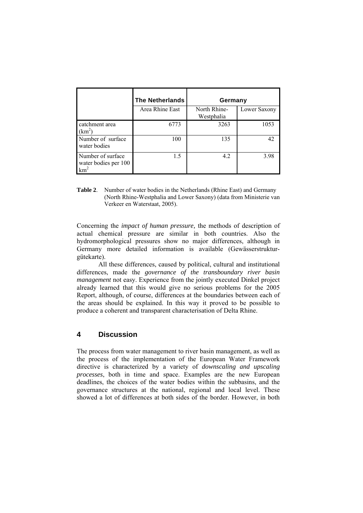|                                           | <b>The Netherlands</b> | Germany                    |              |
|-------------------------------------------|------------------------|----------------------------|--------------|
|                                           | Area Rhine East        | North Rhine-<br>Westphalia | Lower Saxony |
| catchment area<br>$(km^2)$                | 6773                   | 3263                       | 1053         |
| Number of surface<br>water bodies         | 100                    | 135                        | 42           |
| Number of surface<br>water bodies per 100 | 1.5                    | 4.2                        | 3.98         |

**Table 2**. Number of water bodies in the Netherlands (Rhine East) and Germany (North Rhine-Westphalia and Lower Saxony) (data from Ministerie van Verkeer en Waterstaat, 2005).

Concerning the *impact of human pressure,* the methods of description of actual chemical pressure are similar in both countries. Also the hydromorphological pressures show no major differences, although in Germany more detailed information is available (Gewässerstrukturgütekarte).

 All these differences, caused by political, cultural and institutional differences, made the *governance of the transboundary river basin management* not easy. Experience from the jointly executed Dinkel project already learned that this would give no serious problems for the 2005 Report, although, of course, differences at the boundaries between each of the areas should be explained. In this way it proved to be possible to produce a coherent and transparent characterisation of Delta Rhine.

### **4 Discussion**

The process from water management to river basin management, as well as the process of the implementation of the European Water Framework directive is characterized by a variety of *downscaling and upscaling processes*, both in time and space. Examples are the new European deadlines, the choices of the water bodies within the subbasins, and the governance structures at the national, regional and local level. These showed a lot of differences at both sides of the border. However, in both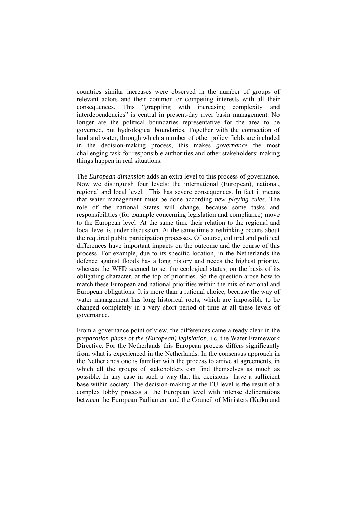countries similar increases were observed in the number of groups of relevant actors and their common or competing interests with all their consequences. This "grappling with increasing complexity and interdependencies" is central in present-day river basin management. No longer are the political boundaries representative for the area to be governed, but hydrological boundaries. Together with the connection of land and water, through which a number of other policy fields are included in the decision-making process, this makes *governance* the most challenging task for responsible authorities and other stakeholders: making things happen in real situations.

The *European dimension* adds an extra level to this process of governance. Now we distinguish four levels: the international (European), national, regional and local level. This has severe consequences. In fact it means that water management must be done according *new playing rules*. The role of the national States will change, because some tasks and responsibilities (for example concerning legislation and compliance) move to the European level. At the same time their relation to the regional and local level is under discussion. At the same time a rethinking occurs about the required public participation processes. Of course, cultural and political differences have important impacts on the outcome and the course of this process. For example, due to its specific location, in the Netherlands the defence against floods has a long history and needs the highest priority, whereas the WFD seemed to set the ecological status, on the basis of its obligating character, at the top of priorities. So the question arose how to match these European and national priorities within the mix of national and European obligations. It is more than a rational choice, because the way of water management has long historical roots, which are impossible to be changed completely in a very short period of time at all these levels of governance.

From a governance point of view, the differences came already clear in the *preparation phase of the (European) legislation*, i.c. the Water Framework Directive. For the Netherlands this European process differs significantly from what is experienced in the Netherlands. In the consensus approach in the Netherlands one is familiar with the process to arrive at agreements, in which all the groups of stakeholders can find themselves as much as possible. In any case in such a way that the decisions have a sufficient base within society. The decision-making at the EU level is the result of a complex lobby process at the European level with intense deliberations between the European Parliament and the Council of Ministers (Kaïka and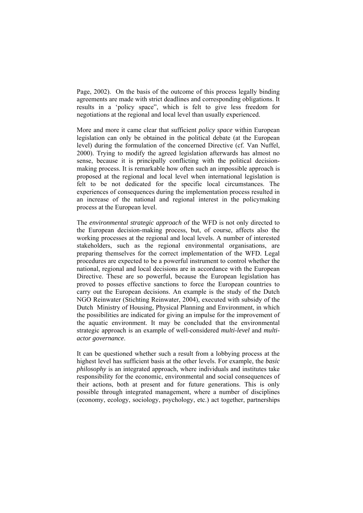Page, 2002). On the basis of the outcome of this process legally binding agreements are made with strict deadlines and corresponding obligations. It results in a 'policy space", which is felt to give less freedom for negotiations at the regional and local level than usually experienced.

More and more it came clear that sufficient *policy space* within European legislation can only be obtained in the political debate (at the European level) during the formulation of the concerned Directive (cf. Van Nuffel, 2000). Trying to modify the agreed legislation afterwards has almost no sense, because it is principally conflicting with the political decisionmaking process. It is remarkable how often such an impossible approach is proposed at the regional and local level when international legislation is felt to be not dedicated for the specific local circumstances. The experiences of consequences during the implementation process resulted in an increase of the national and regional interest in the policymaking process at the European level.

The *environmental strategic approach* of the WFD is not only directed to the European decision-making process, but, of course, affects also the working processes at the regional and local levels. A number of interested stakeholders, such as the regional environmental organisations, are preparing themselves for the correct implementation of the WFD. Legal procedures are expected to be a powerful instrument to control whether the national, regional and local decisions are in accordance with the European Directive. These are so powerful, because the European legislation has proved to posses effective sanctions to force the European countries to carry out the European decisions. An example is the study of the Dutch NGO Reinwater (Stichting Reinwater, 2004), executed with subsidy of the Dutch Ministry of Housing, Physical Planning and Environment, in which the possibilities are indicated for giving an impulse for the improvement of the aquatic environment. It may be concluded that the environmental strategic approach is an example of well-considered *multi-level* and *multiactor governance*.

It can be questioned whether such a result from a lobbying process at the highest level has sufficient basis at the other levels. For example, the *basic philosophy* is an integrated approach, where individuals and institutes take responsibility for the economic, environmental and social consequences of their actions, both at present and for future generations. This is only possible through integrated management, where a number of disciplines (economy, ecology, sociology, psychology, etc.) act together, partnerships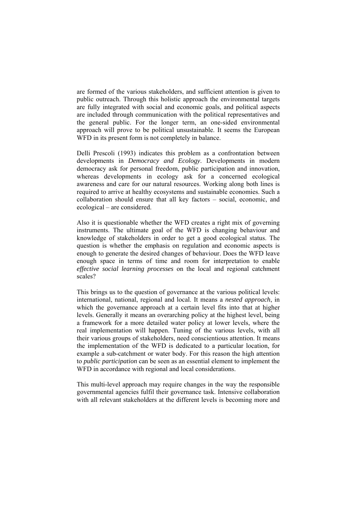are formed of the various stakeholders, and sufficient attention is given to public outreach. Through this holistic approach the environmental targets are fully integrated with social and economic goals, and political aspects are included through communication with the political representatives and the general public. For the longer term, an one-sided environmental approach will prove to be political unsustainable. It seems the European WFD in its present form is not completely in balance.

Delli Prescoli (1993) indicates this problem as a confrontation between developments in *Democracy and Ecology*. Developments in modern democracy ask for personal freedom, public participation and innovation, whereas developments in ecology ask for a concerned ecological awareness and care for our natural resources. Working along both lines is required to arrive at healthy ecosystems and sustainable economies. Such a collaboration should ensure that all key factors – social, economic, and ecological – are considered.

Also it is questionable whether the WFD creates a right mix of governing instruments. The ultimate goal of the WFD is changing behaviour and knowledge of stakeholders in order to get a good ecological status. The question is whether the emphasis on regulation and economic aspects is enough to generate the desired changes of behaviour. Does the WFD leave enough space in terms of time and room for interpretation to enable *effective social learning processes* on the local and regional catchment scales?

This brings us to the question of governance at the various political levels: international, national, regional and local. It means a *nested approach*, in which the governance approach at a certain level fits into that at higher levels. Generally it means an overarching policy at the highest level, being a framework for a more detailed water policy at lower levels, where the real implementation will happen. Tuning of the various levels, with all their various groups of stakeholders, need conscientious attention. It means the implementation of the WFD is dedicated to a particular location, for example a sub-catchment or water body. For this reason the high attention to *public participation* can be seen as an essential element to implement the WFD in accordance with regional and local considerations.

This multi-level approach may require changes in the way the responsible governmental agencies fulfil their governance task. Intensive collaboration with all relevant stakeholders at the different levels is becoming more and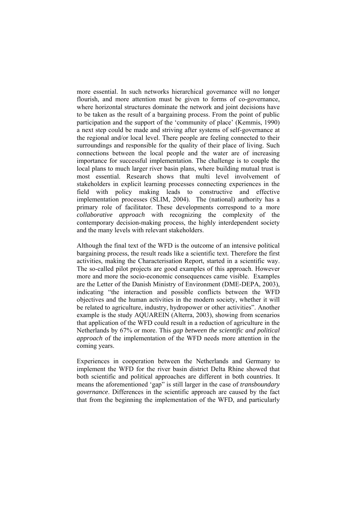more essential. In such networks hierarchical governance will no longer flourish, and more attention must be given to forms of co-governance, where horizontal structures dominate the network and joint decisions have to be taken as the result of a bargaining process. From the point of public participation and the support of the 'community of place' (Kemmis, 1990) a next step could be made and striving after systems of self-governance at the regional and/or local level. There people are feeling connected to their surroundings and responsible for the quality of their place of living. Such connections between the local people and the water are of increasing importance for successful implementation. The challenge is to couple the local plans to much larger river basin plans, where building mutual trust is most essential. Research shows that multi level involvement of stakeholders in explicit learning processes connecting experiences in the field with policy making leads to constructive and effective implementation processes (SLIM, 2004). The (national) authority has a primary role of facilitator. These developments correspond to a more *collaborative approach* with recognizing the complexity of the contemporary decision-making process, the highly interdependent society and the many levels with relevant stakeholders.

Although the final text of the WFD is the outcome of an intensive political bargaining process, the result reads like a scientific text. Therefore the first activities, making the Characterisation Report, started in a scientific way. The so-called pilot projects are good examples of this approach. However more and more the socio-economic consequences came visible. Examples are the Letter of the Danish Ministry of Environment (DME-DEPA, 2003), indicating "the interaction and possible conflicts between the WFD objectives and the human activities in the modern society, whether it will be related to agriculture, industry, hydropower or other activities". Another example is the study AQUAREIN (Alterra, 2003), showing from scenarios that application of the WFD could result in a reduction of agriculture in the Netherlands by 67% or more. This *gap between the scientific and political approach* of the implementation of the WFD needs more attention in the coming years.

Experiences in cooperation between the Netherlands and Germany to implement the WFD for the river basin district Delta Rhine showed that both scientific and political approaches are different in both countries. It means the aforementioned 'gap" is still larger in the case of *transboundary governance*. Differences in the scientific approach are caused by the fact that from the beginning the implementation of the WFD, and particularly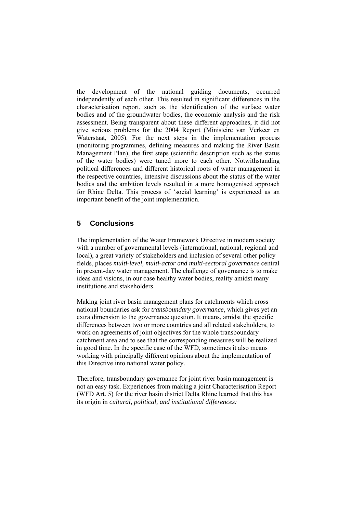the development of the national guiding documents, occurred independently of each other. This resulted in significant differences in the characterisation report, such as the identification of the surface water bodies and of the groundwater bodies, the economic analysis and the risk assessment. Being transparent about these different approaches, it did not give serious problems for the 2004 Report (Ministeire van Verkeer en Waterstaat, 2005). For the next steps in the implementation process (monitoring programmes, defining measures and making the River Basin Management Plan), the first steps (scientific description such as the status of the water bodies) were tuned more to each other. Notwithstanding political differences and different historical roots of water management in the respective countries, intensive discussions about the status of the water bodies and the ambition levels resulted in a more homogenised approach for Rhine Delta. This process of 'social learning' is experienced as an important benefit of the joint implementation.

## **5 Conclusions**

The implementation of the Water Framework Directive in modern society with a number of governmental levels (international, national, regional and local), a great variety of stakeholders and inclusion of several other policy fields, places *multi-level, multi-actor and multi-sectoral governance* central in present-day water management. The challenge of governance is to make ideas and visions, in our case healthy water bodies, reality amidst many institutions and stakeholders.

Making joint river basin management plans for catchments which cross national boundaries ask for *transboundary governance*, which gives yet an extra dimension to the governance question. It means, amidst the specific differences between two or more countries and all related stakeholders, to work on agreements of joint objectives for the whole transboundary catchment area and to see that the corresponding measures will be realized in good time. In the specific case of the WFD, sometimes it also means working with principally different opinions about the implementation of this Directive into national water policy.

Therefore, transboundary governance for joint river basin management is not an easy task. Experiences from making a joint Characterisation Report (WFD Art. 5) for the river basin district Delta Rhine learned that this has its origin in *cultural, political, and institutional differences:*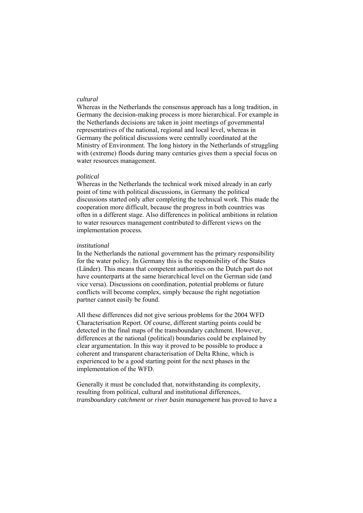#### *cultural*

Whereas in the Netherlands the consensus approach has a long tradition, in Germany the decision-making process is more hierarchical. For example in the Netherlands decisions are taken in joint meetings of governmental representatives of the national, regional and local level, whereas in Germany the political discussions were centrally coordinated at the Ministry of Environment. The long history in the Netherlands of struggling with (extreme) floods during many centuries gives them a special focus on water resources management.

#### *political*

Whereas in the Netherlands the technical work mixed already in an early point of time with political discussions, in Germany the political discussions started only after completing the technical work. This made the cooperation more difficult, because the progress in both countries was often in a different stage. Also differences in political ambitions in relation to water resources management contributed to different views on the implementation process.

#### *institutional*

In the Netherlands the national government has the primary responsibility for the water policy. In Germany this is the responsibility of the States (Länder). This means that competent authorities on the Dutch part do not have counterparts at the same hierarchical level on the German side (and vice versa). Discussions on coordination, potential problems or future conflicts will become complex, simply because the right negotiation partner cannot easily be found.

All these differences did not give serious problems for the 2004 WFD Characterisation Report. Of course, different starting points could be detected in the final maps of the transboundary catchment. However, differences at the national (political) boundaries could be explained by clear argumentation. In this way it proved to be possible to produce a coherent and transparent characterisation of Delta Rhine, which is experienced to be a good starting point for the next phases in the implementation of the WFD.

Generally it must be concluded that, notwithstanding its complexity, resulting from political, cultural and institutional differences, *transboundary catchment or river basin management* has proved to have a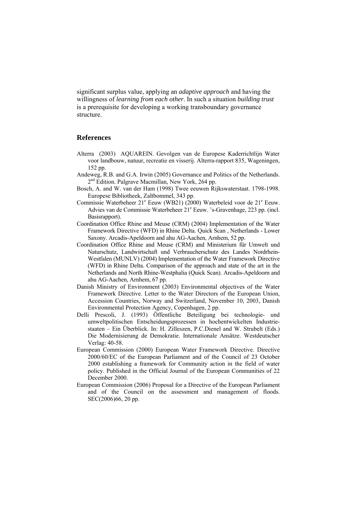significant surplus value, applying an *adaptive approach* and having the willingness of *learning from each other*. In such a situation *building trust* is a prerequisite for developing a working transboundary governance structure.

#### **References**

- Alterra (2003) AQUAREIN. Gevolgen van de Europese Kaderrichtlijn Water voor landbouw, natuur, recreatie en visserij. Alterra-rapport 835, Wageningen, 152 pp.
- Andeweg, R.B. and G.A. Irwin (2005) Governance and Politics of the Netherlands. 2<sup>nd</sup> Edition. Palgrave Macmillan, New York, 264 pp.
- Bosch, A. and W. van der Ham (1998) Twee eeuwen Rijkswaterstaat. 1798-1998. Europese Bibliotheek, Zaltbommel, 343 pp.
- Commissie Waterbeheer 21<sup>e</sup> Eeuw (WB21) (2000) Waterbeleid voor de 21<sup>e</sup> Eeuw. Advies van de Commissie Waterbeheer 21<sup>e</sup> Eeuw. 's-Gravenhage, 223 pp. (incl. Basisrapport).
- Coordination Office Rhine and Meuse (CRM) (2004) Implementation of the Water Framework Directive (WFD) in Rhine Delta. Quick Scan , Netherlands - Lower Saxony. Arcadis-Apeldoorn and ahu AG-Aachen, Arnhem, 52 pp.
- Coordination Office Rhine and Meuse (CRM) and Ministerium für Umwelt und Naturschutz, Landwirtschaft und Verbraucherschutz des Landes Nordrhein-Westfalen (MUNLV) (2004) Implementation of the Water Framework Directive (WFD) in Rhine Delta. Comparison of the approach and state of the art in the Netherlands and North Rhine-Westphalia (Quick Scan). Arcadis-Apeldoorn and ahu AG-Aachen, Arnhem, 67 pp.
- Danish Ministry of Environment (2003) Environmental objectives of the Water Framework Directive. Letter to the Water Directors of the European Union, Accession Countries, Norway and Switzerland, November 10, 2003, Danish Environmental Protection Agency, Copenhagen, 2 pp.
- Delli Prescoli, J. (1993) Öffentliche Beteiligung bei technologie- und umweltpolitischen Entscheidungsprozessen in hochentwickelten Industriestaaten – Ein Überblick. In: H. Zilleszen, P.C.Dienel and W. Strubelt (Eds.) Die Modernisierung de Demokratie. Internationale Ansätze. Westdeutscher Verlag: 40-58.
- European Commission (2000) European Water Framework Directive. Directive 2000/60/EC of the European Parliament and of the Council of 23 October 2000 establishing a framework for Community action in the field of water policy. Published in the Official Journal of the European Communities of 22 December 2000.
- European Commission (2006) Proposal for a Directive of the European Parliament and of the Council on the assessment and management of floods. SEC(2006)66, 20 pp.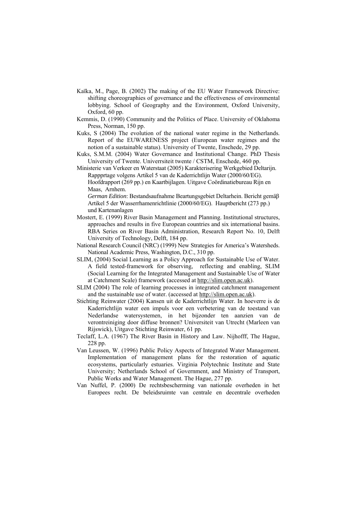- Kaïka, M., Page, B. (2002) The making of the EU Water Framework Directive: shifting choreographies of governance and the effectiveness of environmental lobbying. School of Geography and the Environment, Oxford University, Oxford, 60 pp.
- Kemmis, D. (1990) Community and the Politics of Place. University of Oklahoma Press, Norman, 150 pp.
- Kuks, S (2004) The evolution of the national water regime in the Netherlands. Report of the EUWARENESS project (European water regimes and the notion of a sustainable status). University of Twente, Enschede, 29 pp.
- Kuks, S.M.M. (2004) Water Governance and Institutional Change. PhD Thesis University of Twente. Univerrsiteit twente / CSTM, Enschede, 460 pp.
- Ministerie van Verkeer en Waterstaat (2005) Karakterisering Werkgebied Deltarijn. Rappprtage volgens Artikel 5 van de Kaderrichtlijn Water (2000/60/EG). Hoofdrapport (269 pp.) en Kaartbijlagen. Uitgave Coördinatiebureau Rijn en Maas, Arnhem.

*German Edition*: Bestandsaufnahme Beartungsgebiet Deltarhein. Bericht gemäβ Artikel 5 der Wasserrhamenrichtlinie (2000/60/EG). Hauptbericht (273 pp.) und Kartenanlagen

- Mostert, E. (1999) River Basin Management and Planning. Institutional structures, approaches and results in five European countries and six international basins. RBA Series on River Basin Administration, Research Report No. 10, Delft University of Technology, Delft, 184 pp.
- National Research Council (NRC) (1999) New Strategies for America's Watersheds. National Academic Press, Washington, D.C., 310 pp.
- SLIM, (2004) Social Learning as a Policy Approach for Sustainable Use of Water. A field tested-framework for observing, reflecting and enabling, SLIM (Social Learning for the Integrated Management and Sustainable Use of Water at Catchment Scale) framework (accessed at [http://slim.open.ac.uk\)](http://slim.open.ac.uk/).
- SLIM (2004) The role of learning processes in integrated catchment management and the sustainable use of water. (accessed at [http://slim.open.ac.uk\)](http://slim.open.ac.uk/).
- Stichting Reinwater (2004) Kansen uit de Kaderrichtlijn Water. In hoeverre is de Kaderrichtlijn water een impuls voor een verbetering van de toestand van Nederlandse watersystemen, in het bijzonder ten aanzien van de verontreiniging door diffuse bronnen? Universiteit van Utrecht (Marleen van Rijswick), Uitgave Stichting Reinwater, 61 pp.
- Teclaff, L.A. (1967) The River Basin in History and Law. Nijhofff, The Hague, 228 pp.
- Van Leussen, W. (1996) Public Policy Aspects of Integrated Water Management. Implementation of management plans for the restoration of aquatic ecosystems, particularly estuaries. Virginia Polytechnic Institute and State University; Netherlands School of Government, and Ministry of Transport, Public Works and Water Management. The Hague, 277 pp.
- Van Nuffel, P. (2000) De rechtsbescherming van nationale overheden in het Europees recht. De beleidsruimte van centrale en decentrale overheden